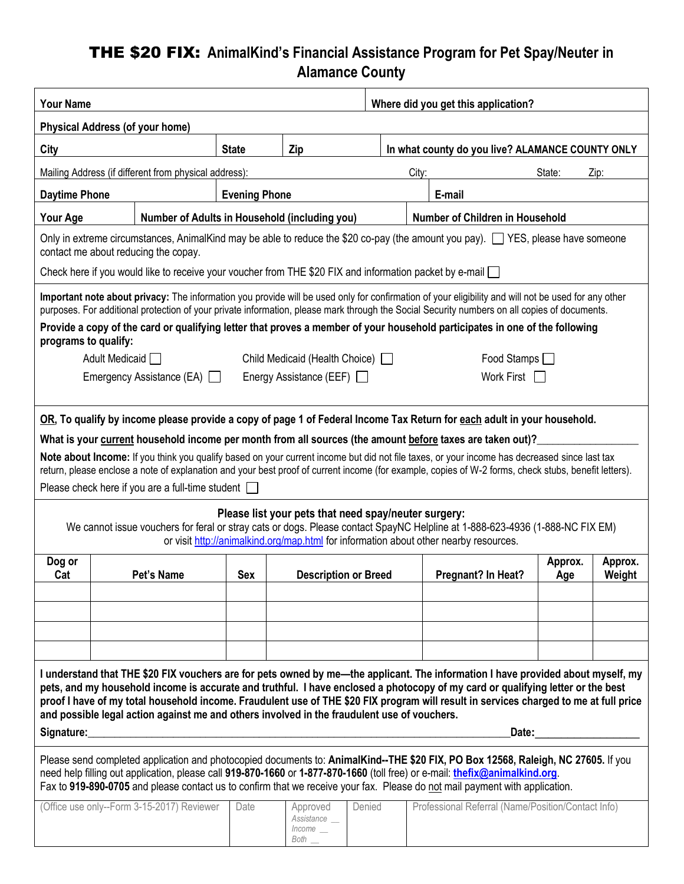# THE \$20 FIX: **AnimalKind's Financial Assistance Program for Pet Spay/Neuter in Alamance County**

| <b>Your Name</b>                                                                                                                                                                                                                                                                                                                                                                                                                                                                                                                                                                                                                                                                                                                                              |                                               |                      |                                                |        | Where did you get this application? |                                                    |                |                   |  |  |
|---------------------------------------------------------------------------------------------------------------------------------------------------------------------------------------------------------------------------------------------------------------------------------------------------------------------------------------------------------------------------------------------------------------------------------------------------------------------------------------------------------------------------------------------------------------------------------------------------------------------------------------------------------------------------------------------------------------------------------------------------------------|-----------------------------------------------|----------------------|------------------------------------------------|--------|-------------------------------------|----------------------------------------------------|----------------|-------------------|--|--|
| <b>Physical Address (of your home)</b>                                                                                                                                                                                                                                                                                                                                                                                                                                                                                                                                                                                                                                                                                                                        |                                               |                      |                                                |        |                                     |                                                    |                |                   |  |  |
| City                                                                                                                                                                                                                                                                                                                                                                                                                                                                                                                                                                                                                                                                                                                                                          |                                               | <b>State</b>         | Zip                                            |        |                                     | In what county do you live? ALAMANCE COUNTY ONLY   |                |                   |  |  |
| Mailing Address (if different from physical address):<br>City:<br>State:<br>Zip:                                                                                                                                                                                                                                                                                                                                                                                                                                                                                                                                                                                                                                                                              |                                               |                      |                                                |        |                                     |                                                    |                |                   |  |  |
| <b>Daytime Phone</b>                                                                                                                                                                                                                                                                                                                                                                                                                                                                                                                                                                                                                                                                                                                                          |                                               | <b>Evening Phone</b> |                                                |        | E-mail                              |                                                    |                |                   |  |  |
| <b>Your Age</b>                                                                                                                                                                                                                                                                                                                                                                                                                                                                                                                                                                                                                                                                                                                                               | Number of Adults in Household (including you) |                      |                                                |        |                                     | Number of Children in Household                    |                |                   |  |  |
| Only in extreme circumstances, AnimalKind may be able to reduce the \$20 co-pay (the amount you pay). YES, please have someone<br>contact me about reducing the copay.                                                                                                                                                                                                                                                                                                                                                                                                                                                                                                                                                                                        |                                               |                      |                                                |        |                                     |                                                    |                |                   |  |  |
| Check here if you would like to receive your voucher from THE \$20 FIX and information packet by e-mail $\Box$                                                                                                                                                                                                                                                                                                                                                                                                                                                                                                                                                                                                                                                |                                               |                      |                                                |        |                                     |                                                    |                |                   |  |  |
| Important note about privacy: The information you provide will be used only for confirmation of your eligibility and will not be used for any other<br>purposes. For additional protection of your private information, please mark through the Social Security numbers on all copies of documents.<br>Provide a copy of the card or qualifying letter that proves a member of your household participates in one of the following<br>programs to qualify:<br>Adult Medicaid<br>Child Medicaid (Health Choice)  <br>Food Stamps $\Box$                                                                                                                                                                                                                        |                                               |                      |                                                |        |                                     |                                                    |                |                   |  |  |
|                                                                                                                                                                                                                                                                                                                                                                                                                                                                                                                                                                                                                                                                                                                                                               | Emergency Assistance (EA) $\Box$              |                      | Energy Assistance (EEF)                        |        |                                     | Work First                                         |                |                   |  |  |
| What is your current household income per month from all sources (the amount before taxes are taken out)?<br>Note about Income: If you think you qualify based on your current income but did not file taxes, or your income has decreased since last tax<br>return, please enclose a note of explanation and your best proof of current income (for example, copies of W-2 forms, check stubs, benefit letters).<br>Please check here if you are a full-time student $\Box$<br>Please list your pets that need spay/neuter surgery:<br>We cannot issue vouchers for feral or stray cats or dogs. Please contact SpayNC Helpline at 1-888-623-4936 (1-888-NC FIX EM)<br>or visit http://animalkind.org/map.html for information about other nearby resources. |                                               |                      |                                                |        |                                     |                                                    |                |                   |  |  |
| Dog or<br>Cat                                                                                                                                                                                                                                                                                                                                                                                                                                                                                                                                                                                                                                                                                                                                                 | Pet's Name                                    | Sex                  | <b>Description or Breed</b>                    |        |                                     | Pregnant? In Heat?                                 | Approx.<br>Age | Approx.<br>Weight |  |  |
| I understand that THE \$20 FIX vouchers are for pets owned by me—the applicant. The information I have provided about myself, my<br>pets, and my household income is accurate and truthful. I have enclosed a photocopy of my card or qualifying letter or the best<br>proof I have of my total household income. Fraudulent use of THE \$20 FIX program will result in services charged to me at full price<br>and possible legal action against me and others involved in the fraudulent use of vouchers.<br>Signature:<br>Date:                                                                                                                                                                                                                            |                                               |                      |                                                |        |                                     |                                                    |                |                   |  |  |
| Please send completed application and photocopied documents to: AnimalKind--THE \$20 FIX, PO Box 12568, Raleigh, NC 27605. If you<br>need help filling out application, please call 919-870-1660 or 1-877-870-1660 (toll free) or e-mail: thefix@animalkind.org.<br>Fax to 919-890-0705 and please contact us to confirm that we receive your fax. Please do not mail payment with application.                                                                                                                                                                                                                                                                                                                                                               |                                               |                      |                                                |        |                                     |                                                    |                |                   |  |  |
|                                                                                                                                                                                                                                                                                                                                                                                                                                                                                                                                                                                                                                                                                                                                                               | (Office use only--Form 3-15-2017) Reviewer    | Date                 | Approved<br>Assistance __<br>Income<br>Both __ | Denied |                                     | Professional Referral (Name/Position/Contact Info) |                |                   |  |  |